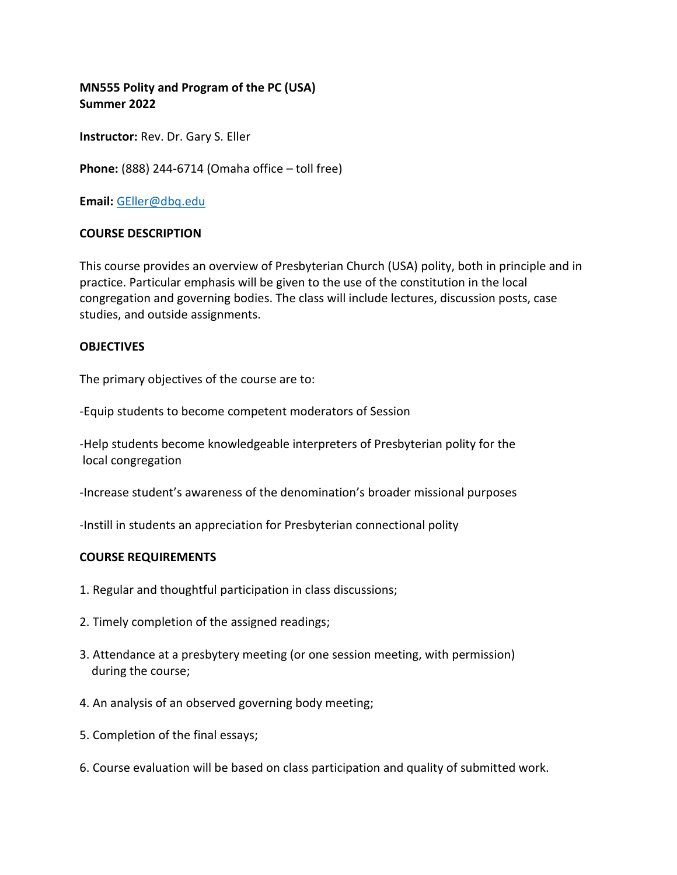# **MN555 Polity and Program of the PC (USA) Summer 2022**

**Instructor:** Rev. Dr. Gary S. Eller

**Phone:** (888) 244-6714 (Omaha office – toll free)

**Email:** [GEller@dbq.edu](mailto:Geller@dbq.edu)

### **COURSE DESCRIPTION**

This course provides an overview of Presbyterian Church (USA) polity, both in principle and in practice. Particular emphasis will be given to the use of the constitution in the local congregation and governing bodies. The class will include lectures, discussion posts, case studies, and outside assignments.

#### **OBJECTIVES**

The primary objectives of the course are to:

-Equip students to become competent moderators of Session

-Help students become knowledgeable interpreters of Presbyterian polity for the local congregation

-Increase student's awareness of the denomination's broader missional purposes

-Instill in students an appreciation for Presbyterian connectional polity

#### **COURSE REQUIREMENTS**

- 1. Regular and thoughtful participation in class discussions;
- 2. Timely completion of the assigned readings;
- 3. Attendance at a presbytery meeting (or one session meeting, with permission) during the course;
- 4. An analysis of an observed governing body meeting;
- 5. Completion of the final essays;
- 6. Course evaluation will be based on class participation and quality of submitted work.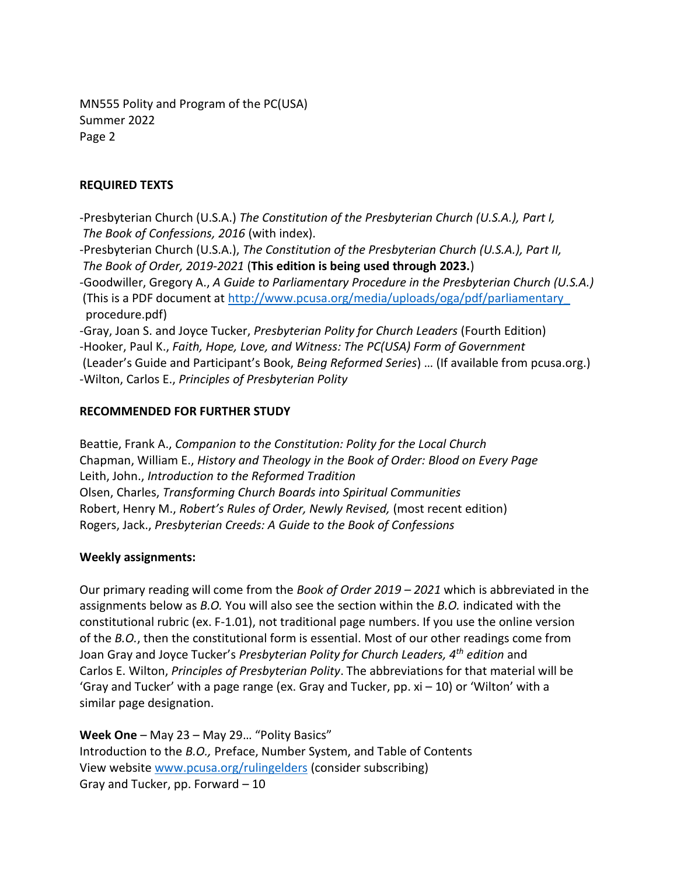MN555 Polity and Program of the PC(USA) Summer 2022 Page 2

## **REQUIRED TEXTS**

-Presbyterian Church (U.S.A.) *The Constitution of the Presbyterian Church (U.S.A.), Part I, The Book of Confessions, 2016* (with index).

-Presbyterian Church (U.S.A.), *The Constitution of the Presbyterian Church (U.S.A.), Part II, The Book of Order, 2019-2021* (**This edition is being used through 2023.**)

-Goodwiller, Gregory A., *A Guide to Parliamentary Procedure in the Presbyterian Church (U.S.A.)* (This is a PDF document at [http://www.pcusa.org/media/uploads/oga/pdf/parliamentary\\_](http://www.pcusa.org/media/uploads/oga/pdf/parliamentary_) procedure.pdf)

-Gray, Joan S. and Joyce Tucker, *Presbyterian Polity for Church Leaders* (Fourth Edition) -Hooker, Paul K., *Faith, Hope, Love, and Witness: The PC(USA) Form of Government* (Leader's Guide and Participant's Book, *Being Reformed Series*) … (If available from pcusa.org.) -Wilton, Carlos E., *Principles of Presbyterian Polity*

## **RECOMMENDED FOR FURTHER STUDY**

Beattie, Frank A., *Companion to the Constitution: Polity for the Local Church* Chapman, William E., *History and Theology in the Book of Order: Blood on Every Page* Leith, John., *Introduction to the Reformed Tradition* Olsen, Charles, *Transforming Church Boards into Spiritual Communities* Robert, Henry M., *Robert's Rules of Order, Newly Revised,* (most recent edition) Rogers, Jack., *Presbyterian Creeds: A Guide to the Book of Confessions*

### **Weekly assignments:**

Our primary reading will come from the *Book of Order 2019 – 2021* which is abbreviated in the assignments below as *B.O.* You will also see the section within the *B.O.* indicated with the constitutional rubric (ex. F-1.01), not traditional page numbers. If you use the online version of the *B.O.*, then the constitutional form is essential. Most of our other readings come from Joan Gray and Joyce Tucker's *Presbyterian Polity for Church Leaders, 4th edition* and Carlos E. Wilton, *Principles of Presbyterian Polity*. The abbreviations for that material will be 'Gray and Tucker' with a page range (ex. Gray and Tucker, pp. xi – 10) or 'Wilton' with a similar page designation.

**Week One** – May 23 – May 29… "Polity Basics" Introduction to the *B.O.,* Preface, Number System, and Table of Contents View website [www.pcusa.org/rulingelders](http://www.pcusa.org/rulingelders) (consider subscribing) Gray and Tucker, pp. Forward – 10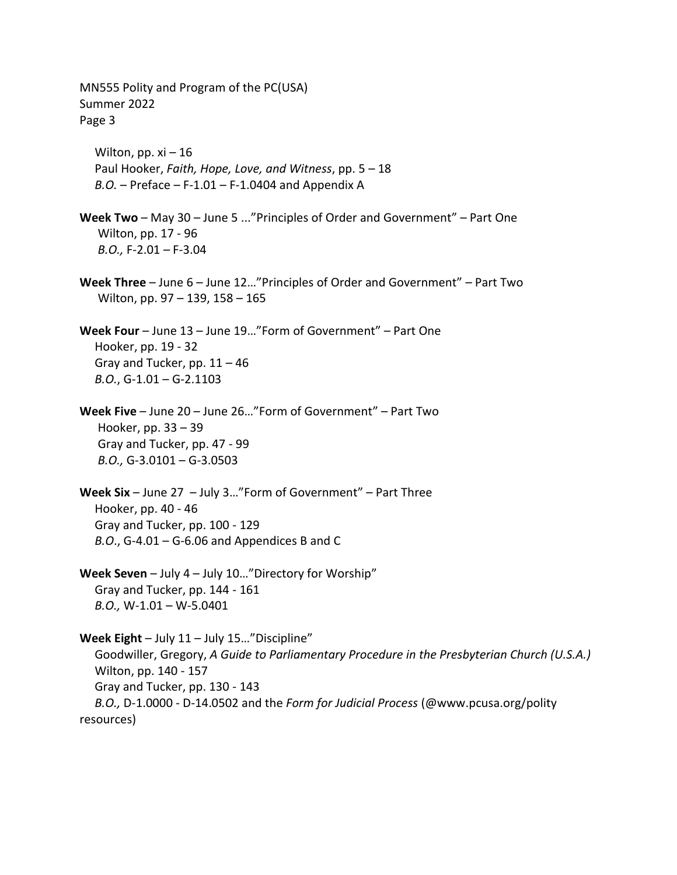MN555 Polity and Program of the PC(USA) Summer 2022 Page 3 Wilton, pp.  $xi - 16$  Paul Hooker, *Faith, Hope, Love, and Witness*, pp. 5 – 18 *B.O.* – Preface – F-1.01 – F-1.0404 and Appendix A **Week Two** – May 30 – June 5 ..."Principles of Order and Government" – Part One Wilton, pp. 17 - 96 *B.O.,* F-2.01 *–* F*-*3.04 **Week Three** – June 6 – June 12…"Principles of Order and Government" – Part Two Wilton, pp. 97 – 139, 158 – 165 **Week Four** – June 13 – June 19…"Form of Government" – Part One Hooker, pp. 19 - 32 Gray and Tucker, pp.  $11 - 46$  *B.O.*, G-1.01 – G-2.1103 **Week Five** – June 20 – June 26…"Form of Government" – Part Two Hooker, pp. 33 – 39 Gray and Tucker, pp. 47 - 99 *B.O.,* G-3.0101 – G-3.0503 **Week Six** – June 27 – July 3…"Form of Government" – Part Three Hooker, pp. 40 - 46 Gray and Tucker, pp. 100 - 129 *B.O*., G-4.01 – G-6.06 and Appendices B and C **Week Seven** – July 4 – July 10…"Directory for Worship" Gray and Tucker, pp. 144 - 161 *B.O.,* W-1.01 – W-5.0401 **Week Eight** – July 11 – July 15…"Discipline" Goodwiller, Gregory, *A Guide to Parliamentary Procedure in the Presbyterian Church (U.S.A.)* Wilton, pp. 140 - 157 Gray and Tucker, pp. 130 - 143 *B.O.,* D-1.0000 - D-14.0502 and the *Form for Judicial Process* (@www.pcusa.org/polity resources)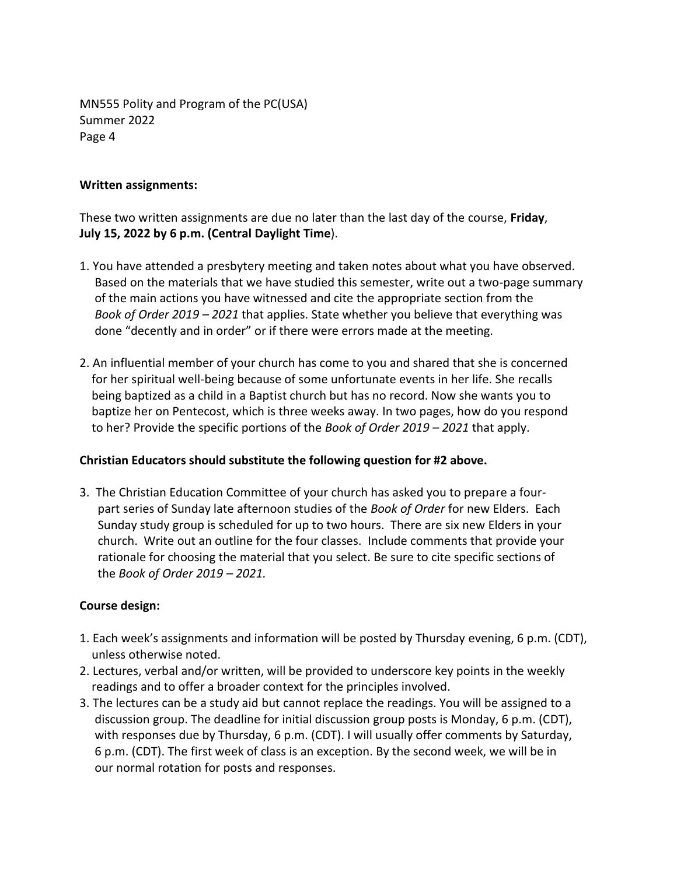MN555 Polity and Program of the PC(USA) Summer 2022 Page 4

#### **Written assignments:**

These two written assignments are due no later than the last day of the course, **Friday**, **July 15, 2022 by 6 p.m. (Central Daylight Time**).

- 1. You have attended a presbytery meeting and taken notes about what you have observed. Based on the materials that we have studied this semester, write out a two-page summary of the main actions you have witnessed and cite the appropriate section from the *Book of Order 2019 – 2021* that applies. State whether you believe that everything was done "decently and in order" or if there were errors made at the meeting.
- 2. An influential member of your church has come to you and shared that she is concerned for her spiritual well-being because of some unfortunate events in her life. She recalls being baptized as a child in a Baptist church but has no record. Now she wants you to baptize her on Pentecost, which is three weeks away. In two pages, how do you respond to her? Provide the specific portions of the *Book of Order 2019 – 2021* that apply.

### **Christian Educators should substitute the following question for #2 above.**

3. The Christian Education Committee of your church has asked you to prepare a four part series of Sunday late afternoon studies of the *Book of Order* for new Elders. Each Sunday study group is scheduled for up to two hours. There are six new Elders in your church. Write out an outline for the four classes. Include comments that provide your rationale for choosing the material that you select. Be sure to cite specific sections of the *Book of Order 2019 – 2021.*

### **Course design:**

- 1. Each week's assignments and information will be posted by Thursday evening, 6 p.m. (CDT), unless otherwise noted.
- 2. Lectures, verbal and/or written, will be provided to underscore key points in the weekly readings and to offer a broader context for the principles involved.
- 3. The lectures can be a study aid but cannot replace the readings. You will be assigned to a discussion group. The deadline for initial discussion group posts is Monday, 6 p.m. (CDT), with responses due by Thursday, 6 p.m. (CDT). I will usually offer comments by Saturday, 6 p.m. (CDT). The first week of class is an exception. By the second week, we will be in our normal rotation for posts and responses.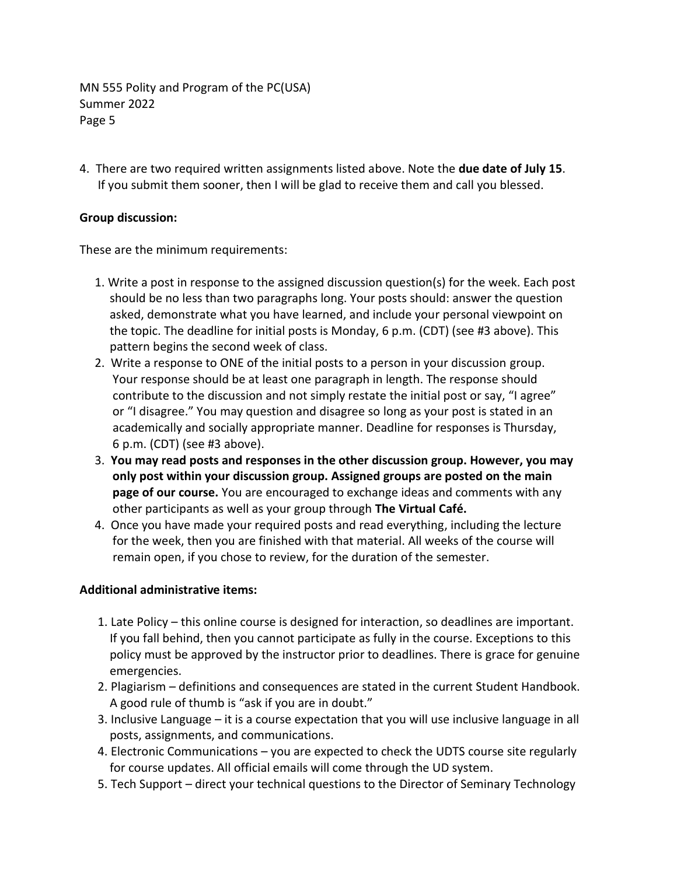MN 555 Polity and Program of the PC(USA) Summer 2022 Page 5

4. There are two required written assignments listed above. Note the **due date of July 15**. If you submit them sooner, then I will be glad to receive them and call you blessed.

## **Group discussion:**

These are the minimum requirements:

- 1. Write a post in response to the assigned discussion question(s) for the week. Each post should be no less than two paragraphs long. Your posts should: answer the question asked, demonstrate what you have learned, and include your personal viewpoint on the topic. The deadline for initial posts is Monday, 6 p.m. (CDT) (see #3 above). This pattern begins the second week of class.
- 2. Write a response to ONE of the initial posts to a person in your discussion group. Your response should be at least one paragraph in length. The response should contribute to the discussion and not simply restate the initial post or say, "I agree" or "I disagree." You may question and disagree so long as your post is stated in an academically and socially appropriate manner. Deadline for responses is Thursday, 6 p.m. (CDT) (see #3 above).
- 3. **You may read posts and responses in the other discussion group. However, you may only post within your discussion group. Assigned groups are posted on the main page of our course.** You are encouraged to exchange ideas and comments with any other participants as well as your group through **The Virtual Café.**
- 4. Once you have made your required posts and read everything, including the lecture for the week, then you are finished with that material. All weeks of the course will remain open, if you chose to review, for the duration of the semester.

# **Additional administrative items:**

- 1. Late Policy this online course is designed for interaction, so deadlines are important. If you fall behind, then you cannot participate as fully in the course. Exceptions to this policy must be approved by the instructor prior to deadlines. There is grace for genuine emergencies.
- 2. Plagiarism definitions and consequences are stated in the current Student Handbook. A good rule of thumb is "ask if you are in doubt."
- 3. Inclusive Language it is a course expectation that you will use inclusive language in all posts, assignments, and communications.
- 4. Electronic Communications you are expected to check the UDTS course site regularly for course updates. All official emails will come through the UD system.
- 5. Tech Support direct your technical questions to the Director of Seminary Technology